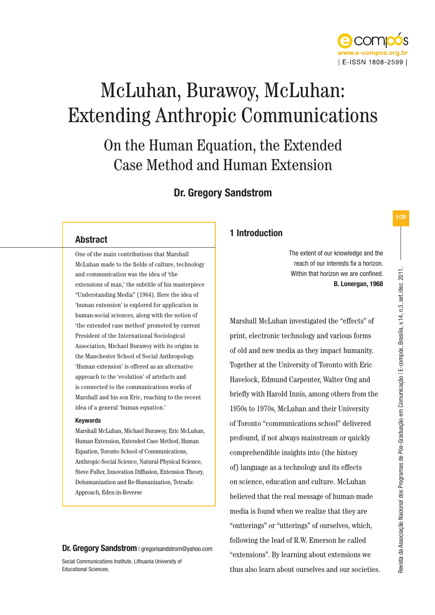

# McLuhan, Burawoy, McLuhan: Extending Anthropic Communications

On the Human Equation, the Extended Case Method and Human Extension

# Dr. Gregory Sandstrom

# Abstract

One of the main contributions that Marshall McLuhan made to the fields of culture, technology and communication was the idea of 'the extensions of man,' the subtitle of his masterpiece "Understanding Media" (1964). Here the idea of 'human extension' is explored for application in human-social sciences, along with the notion of 'the extended case method' promoted by current President of the International Sociological Association, Michael Burawoy with its origins in the Manchester School of Social Anthropology. 'Human extension' is offered as an alternative approach to the 'evolution' of artefacts and is connected to the communications works of Marshall and his son Eric, reaching to the recent idea of a general 'human equation.'

### Keywords

Marshall McLuhan, Michael Burawoy, Eric McLuhan, Human Extension, Extended Case Method, Human Equation, Toronto School of Communications, Anthropic-Social Science, Natural-Physical Science, Steve Fuller, Innovation Diffusion, Extension Theory, Dehumanization and Re-Humanization, Tetradic Approach, Eden-in-Reverse

**Dr. Gregory Sandstrom** | gregorisandstrom@yahoo.com

Social Communications Institute, Lithuania University of Educational Sciences.

# 1 Introduction

The extent of our knowledge and the reach of our interests fix a horizon. Within that horizon we are confined. **B. Lonergan, 1968**

Marshall McLuhan investigated the "effects" of print, electronic technology and various forms of old and new media as they impact humanity. Together at the University of Toronto with Eric Havelock, Edmund Carpenter, Walter Ong and briefly with Harold Innis, among others from the 1950s to 1970s, McLuhan and their University of Toronto "communications school" delivered profound, if not always mainstream or quickly comprehendible insights into (the history of) language as a technology and its effects on science, education and culture. McLuhan believed that the real message of human-made media is found when we realize that they are "outterings" or "utterings" of ourselves, which, following the lead of R.W. Emerson he called "extensions". By learning about extensions we thus also learn about ourselves and our societies. Revista da Associação Nacional dos Programas de Pós-Graduação em Comunicação | E-compós, Brasília, v.14, n.3, set./dez. 2011.

Revista da Associação Nacional dos Programas de Pós-Graduação em Comunicação I E-compós, Brasilia, v.14, n.3, set./dez. 2011.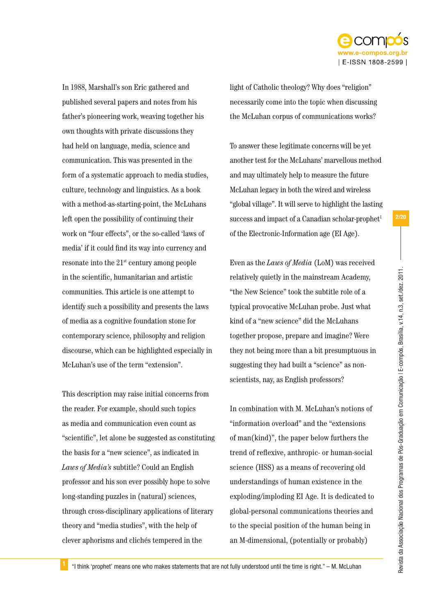

In 1988, Marshall's son Eric gathered and published several papers and notes from his father's pioneering work, weaving together his own thoughts with private discussions they had held on language, media, science and communication. This was presented in the form of a systematic approach to media studies, culture, technology and linguistics. As a book with a method-as-starting-point, the McLuhans left open the possibility of continuing their work on "four effects", or the so-called 'laws of media' if it could find its way into currency and resonate into the 21st century among people in the scientific, humanitarian and artistic communities. This article is one attempt to identify such a possibility and presents the laws of media as a cognitive foundation stone for contemporary science, philosophy and religion discourse, which can be highlighted especially in McLuhan's use of the term "extension".

This description may raise initial concerns from the reader. For example, should such topics as media and communication even count as "scientific", let alone be suggested as constituting the basis for a "new science", as indicated in *Laws of Media's* subtitle? Could an English professor and his son ever possibly hope to solve long-standing puzzles in (natural) sciences, through cross-disciplinary applications of literary theory and "media studies", with the help of clever aphorisms and clichés tempered in the

light of Catholic theology? Why does "religion" necessarily come into the topic when discussing the McLuhan corpus of communications works?

To answer these legitimate concerns will be yet another test for the McLuhans' marvellous method and may ultimately help to measure the future McLuhan legacy in both the wired and wireless "global village". It will serve to highlight the lasting success and impact of a Canadian scholar-prophet $1$ of the Electronic-Information age (EI Age).

Even as the *Laws of Media* (LoM) was received relatively quietly in the mainstream Academy, "the New Science" took the subtitle role of a typical provocative McLuhan probe. Just what kind of a "new science" did the McLuhans together propose, prepare and imagine? Were they not being more than a bit presumptuous in suggesting they had built a "science" as nonscientists, nay, as English professors?

In combination with M. McLuhan's notions of "information overload" and the "extensions of man(kind)", the paper below furthers the trend of reflexive, anthropic- or human-social science (HSS) as a means of recovering old understandings of human existence in the exploding/imploding EI Age. It is dedicated to global-personal communications theories and to the special position of the human being in an M-dimensional, (potentially or probably)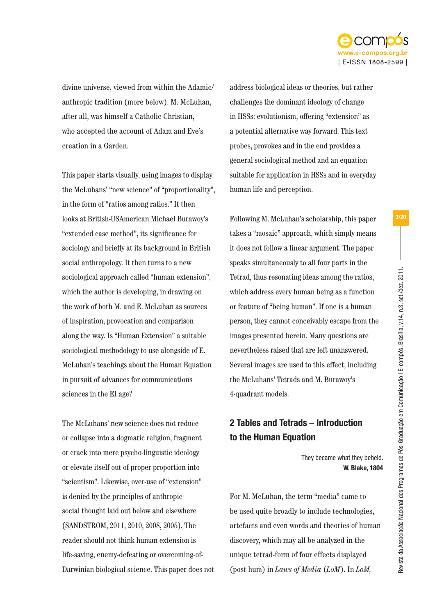

divine universe, viewed from within the Adamic/ anthropic tradition (more below). M. McLuhan, after all, was himself a Catholic Christian, who accepted the account of Adam and Eve's creation in a Garden.

This paper starts visually, using images to display the McLuhans' "new science" of "proportionality", in the form of "ratios among ratios." It then looks at British-USAmerican Michael Burawoy's "extended case method", its significance for sociology and briefly at its background in British social anthropology. It then turns to a new sociological approach called "human extension", which the author is developing, in drawing on the work of both M. and E. McLuhan as sources of inspiration, provocation and comparison along the way. Is "Human Extension" a suitable sociological methodology to use alongside of E. McLuhan's teachings about the Human Equation in pursuit of advances for communications sciences in the EI age?

The McLuhans' new science does not reduce or collapse into a dogmatic religion, fragment or crack into mere psycho-linguistic ideology or elevate itself out of proper proportion into "scientism". Likewise, over-use of "extension" is denied by the principles of anthropicsocial thought laid out below and elsewhere (SANDSTROM, 2011, 2010, 2008, 2005). The reader should not think human extension is life-saving, enemy-defeating or overcoming-of-Darwinian biological science. This paper does not address biological ideas or theories, but rather challenges the dominant ideology of change in HSSs: evolutionism, offering "extension" as a potential alternative way forward. This text probes, provokes and in the end provides a general sociological method and an equation suitable for application in HSSs and in everyday human life and perception.

Following M. McLuhan's scholarship, this paper takes a "mosaic" approach, which simply means it does not follow a linear argument. The paper speaks simultaneously to all four parts in the Tetrad, thus resonating ideas among the ratios, which address every human being as a function or feature of "being human". If one is a human person, they cannot conceivably escape from the images presented herein. Many questions are nevertheless raised that are left unanswered. Several images are used to this effect, including the McLuhans' Tetrads and M. Burawoy's 4-quadrant models.

# 2 Tables and Tetrads – Introduction to the Human Equation

They became what they beheld. **W. Blake, 1804**

For M. McLuhan, the term "media" came to be used quite broadly to include technologies, artefacts and even words and theories of human discovery, which may all be analyzed in the unique tetrad-form of four effects displayed (post hum) in *Laws of Media* (*LoM*). In *LoM,*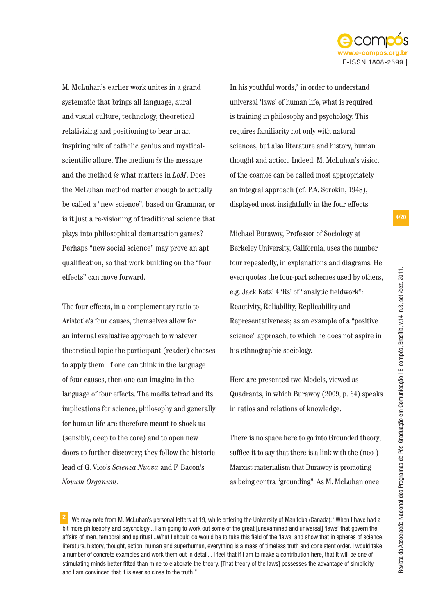

M. McLuhan's earlier work unites in a grand systematic that brings all language, aural and visual culture, technology, theoretical relativizing and positioning to bear in an inspiring mix of catholic genius and mysticalscientific allure. The medium *is* the message and the method *is* what matters in *LoM*. Does the McLuhan method matter enough to actually be called a "new science", based on Grammar, or is it just a re-visioning of traditional science that plays into philosophical demarcation games? Perhaps "new social science" may prove an apt qualification, so that work building on the "four effects" can move forward.

The four effects, in a complementary ratio to Aristotle's four causes, themselves allow for an internal evaluative approach to whatever theoretical topic the participant (reader) chooses to apply them. If one can think in the language of four causes, then one can imagine in the language of four effects. The media tetrad and its implications for science, philosophy and generally for human life are therefore meant to shock us (sensibly, deep to the core) and to open new doors to further discovery; they follow the historic lead of G. Vico's *Scienza Nuova* and F. Bacon's *Novum Organum*.

In his youthful words,<sup>2</sup> in order to understand universal 'laws' of human life, what is required is training in philosophy and psychology. This requires familiarity not only with natural sciences, but also literature and history, human thought and action. Indeed, M. McLuhan's vision of the cosmos can be called most appropriately an integral approach (cf. P.A. Sorokin, 1948), displayed most insightfully in the four effects.

Michael Burawoy, Professor of Sociology at Berkeley University, California, uses the number four repeatedly, in explanations and diagrams. He even quotes the four-part schemes used by others, e.g. Jack Katz' 4 'Rs' of "analytic fieldwork": Reactivity, Reliability, Replicability and Representativeness; as an example of a "positive science" approach, to which he does not aspire in his ethnographic sociology*.*

Here are presented two Models, viewed as Quadrants, in which Burawoy (2009, p. 64) speaks in ratios and relations of knowledge.

There is no space here to go into Grounded theory; suffice it to say that there is a link with the (neo-) Marxist materialism that Burawoy is promoting as being contra "grounding". As M. McLuhan once

<sup>2</sup> We may note from M. McLuhan's personal letters at 19, while entering the University of Manitoba (Canada): "When I have had a bit more philosophy and psychology... I am going to work out some of the great [unexamined and universal] 'laws' that govern the affairs of men, temporal and spiritual...What I should do would be to take this field of the 'laws' and show that in spheres of science, literature, history, thought, action, human and superhuman, everything is a mass of timeless truth and consistent order. I would take a number of concrete examples and work them out in detail... I feel that if I am to make a contribution here, that it will be one of stimulating minds better fitted than mine to elaborate the theory. [That theory of the laws] possesses the advantage of simplicity and I am convinced that it is ever so close to the truth."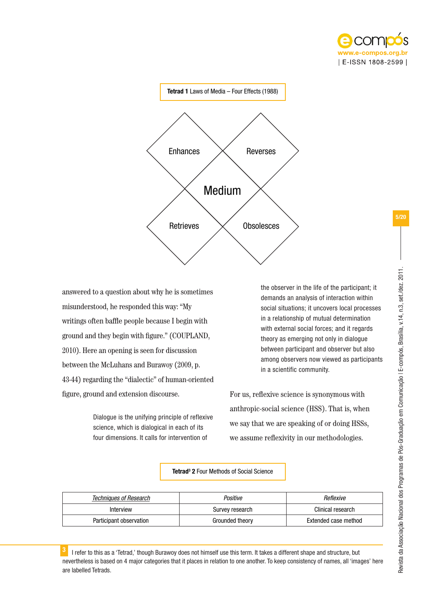



answered to a question about why he is sometimes misunderstood, he responded this way: "My writings often baffle people because I begin with ground and they begin with figure." (COUPLAND, 2010). Here an opening is seen for discussion between the McLuhans and Burawoy (2009, p. 43-44) regarding the "dialectic" of human-oriented figure, ground and extension discourse.

> Dialogue is the unifying principle of reflexive science, which is dialogical in each of its four dimensions. It calls for intervention of

the observer in the life of the participant; it demands an analysis of interaction within social situations; it uncovers local processes in a relationship of mutual determination with external social forces; and it regards theory as emerging not only in dialogue between participant and observer but also among observers now viewed as participants in a scientific community.

For us, reflexive science is synonymous with anthropic-social science (HSS). That is, when we say that we are speaking of or doing HSSs, we assume reflexivity in our methodologies.

### Tetrad<sup>3</sup> 2 Four Methods of Social Science

| Techniques of Research  | Positive        | Reflexive            |
|-------------------------|-----------------|----------------------|
| Interview               | Survey research | Clinical research    |
| Participant observation | Grounded theory | Extended case method |

 $3$  I refer to this as a 'Tetrad,' though Burawoy does not himself use this term. It takes a different shape and structure, but nevertheless is based on 4 major categories that it places in relation to one another. To keep consistency of names, all 'images' here are labelled Tetrads.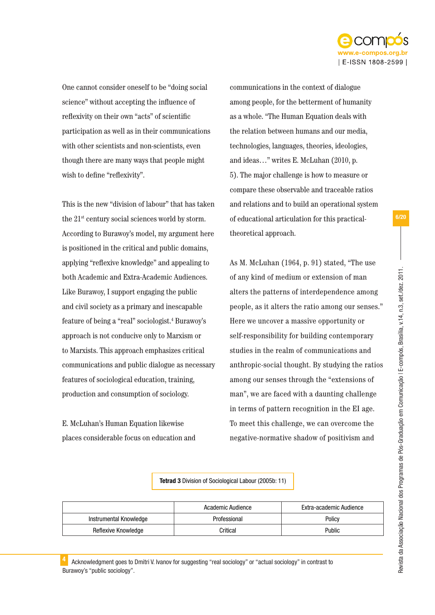

One cannot consider oneself to be "doing social science" without accepting the influence of reflexivity on their own "acts" of scientific participation as well as in their communications with other scientists and non-scientists, even though there are many ways that people might wish to define "reflexivity".

This is the new "division of labour" that has taken the 21st century social sciences world by storm. According to Burawoy's model, my argument here is positioned in the critical and public domains, applying "reflexive knowledge" and appealing to both Academic and Extra-Academic Audiences. Like Burawoy, I support engaging the public and civil society as a primary and inescapable feature of being a "real" sociologist.4 Burawoy's approach is not conducive only to Marxism or to Marxists. This approach emphasizes critical communications and public dialogue as necessary features of sociological education, training, production and consumption of sociology.

E. McLuhan's Human Equation likewise places considerable focus on education and communications in the context of dialogue among people, for the betterment of humanity as a whole. "The Human Equation deals with the relation between humans and our media, technologies, languages, theories, ideologies, and ideas…" writes E. McLuhan (2010, p. 5). The major challenge is how to measure or compare these observable and traceable ratios and relations and to build an operational system of educational articulation for this practicaltheoretical approach.

As M. McLuhan (1964, p. 91) stated, "The use of any kind of medium or extension of man alters the patterns of interdependence among people, as it alters the ratio among our senses." Here we uncover a massive opportunity or self-responsibility for building contemporary studies in the realm of communications and anthropic-social thought. By studying the ratios among our senses through the "extensions of man", we are faced with a daunting challenge in terms of pattern recognition in the EI age. To meet this challenge, we can overcome the negative-normative shadow of positivism and

Tetrad 3 Division of Sociological Labour (2005b: 11)

|                        | Academic Audience | Extra-academic Audience |
|------------------------|-------------------|-------------------------|
| Instrumental Knowledge | Professional      | Policy                  |
| Reflexive Knowledge    | Critical          | Public                  |

Acknowledgment goes to Dmitri V. Ivanov for suggesting "real sociology" or "actual sociology" in contrast to Burawoy's "public sociology".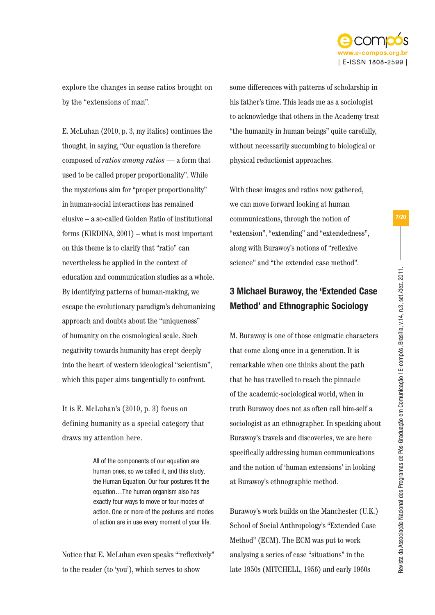

explore the changes in sense ratios brought on by the "extensions of man".

E. McLuhan (2010, p. 3, my italics) continues the thought, in saying, "Our equation is therefore composed of *ratios among ratios* — a form that used to be called proper proportionality". While the mysterious aim for "proper proportionality" in human-social interactions has remained elusive – a so-called Golden Ratio of institutional forms (KIRDINA, 2001) – what is most important on this theme is to clarify that "ratio" can nevertheless be applied in the context of education and communication studies as a whole. By identifying patterns of human-making, we escape the evolutionary paradigm's dehumanizing approach and doubts about the "uniqueness" of humanity on the cosmological scale. Such negativity towards humanity has crept deeply into the heart of western ideological "scientism", which this paper aims tangentially to confront.

It is E. McLuhan's (2010, p. 3) focus on defining humanity as a special category that draws my attention here.

> All of the components of our equation are human ones, so we called it, and this study, the Human Equation. Our four postures fit the equation…The human organism also has exactly four ways to move or four modes of action. One or more of the postures and modes of action are in use every moment of your life.

Notice that E. McLuhan even speaks "'reflexively" to the reader (to 'you'), which serves to show

some differences with patterns of scholarship in his father's time. This leads me as a sociologist to acknowledge that others in the Academy treat "the humanity in human beings" quite carefully, without necessarily succumbing to biological or physical reductionist approaches.

With these images and ratios now gathered, we can move forward looking at human communications, through the notion of "extension", "extending" and "extendedness", along with Burawoy's notions of "reflexive science" and "the extended case method".

# 3 Michael Burawoy, the 'Extended Case Method' and Ethnographic Sociology

M. Burawoy is one of those enigmatic characters that come along once in a generation. It is remarkable when one thinks about the path that he has travelled to reach the pinnacle of the academic-sociological world, when in truth Burawoy does not as often call him-self a sociologist as an ethnographer. In speaking about Burawoy's travels and discoveries, we are here specifically addressing human communications and the notion of 'human extensions' in looking at Burawoy's ethnographic method.

Burawoy's work builds on the Manchester (U.K.) School of Social Anthropology's "Extended Case Method" (ECM). The ECM was put to work analysing a series of case "situations" in the late 1950s (MITCHELL, 1956) and early 1960s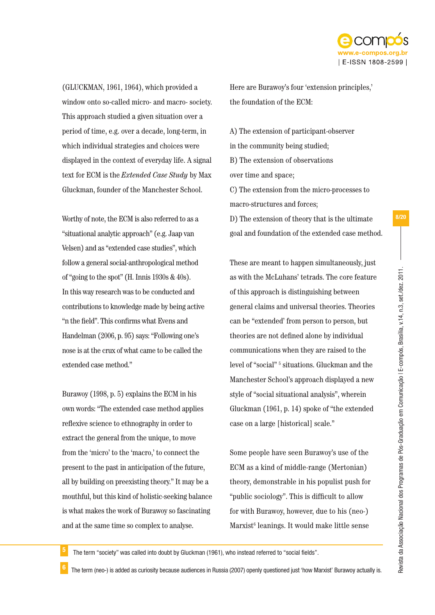

(GLUCKMAN, 1961, 1964), which provided a window onto so-called micro- and macro- society. This approach studied a given situation over a period of time, e.g. over a decade, long-term, in which individual strategies and choices were displayed in the context of everyday life. A signal text for ECM is the *Extended Case Study* by Max Gluckman, founder of the Manchester School.

Worthy of note, the ECM is also referred to as a "situational analytic approach" (e.g. Jaap van Velsen) and as "extended case studies", which follow a general social-anthropological method of "going to the spot" (H. Innis 1930s & 40s). In this way research was to be conducted and contributions to knowledge made by being active "n the field". This confirms what Evens and Handelman (2006, p. 95) says: "Following one's nose is at the crux of what came to be called the extended case method."

Burawoy (1998, p. 5) explains the ECM in his own words: "The extended case method applies reflexive science to ethnography in order to extract the general from the unique, to move from the 'micro' to the 'macro,' to connect the present to the past in anticipation of the future, all by building on preexisting theory." It may be a mouthful, but this kind of holistic-seeking balance is what makes the work of Burawoy so fascinating and at the same time so complex to analyse.

Here are Burawoy's four 'extension principles,' the foundation of the ECM:

A) The extension of participant-observer in the community being studied; B) The extension of observations over time and space; C) The extension from the micro-processes to macro-structures and forces;

D) The extension of theory that is the ultimate goal and foundation of the extended case method.

These are meant to happen simultaneously, just as with the McLuhans' tetrads. The core feature of this approach is distinguishing between general claims and universal theories. Theories can be "extended' from person to person, but theories are not defined alone by individual communications when they are raised to the level of "social"<sup>5</sup> situations. Gluckman and the Manchester School's approach displayed a new style of "social situational analysis", wherein Gluckman (1961, p. 14) spoke of "the extended case on a large [historical] scale."

Some people have seen Burawoy's use of the ECM as a kind of middle-range (Mertonian) theory, demonstrable in his populist push for "public sociology". This is difficult to allow for with Burawoy, however, due to his (neo-) Marxist<sup>6</sup> leanings. It would make little sense

The term "society" was called into doubt by Gluckman (1961), who instead referred to "social fields".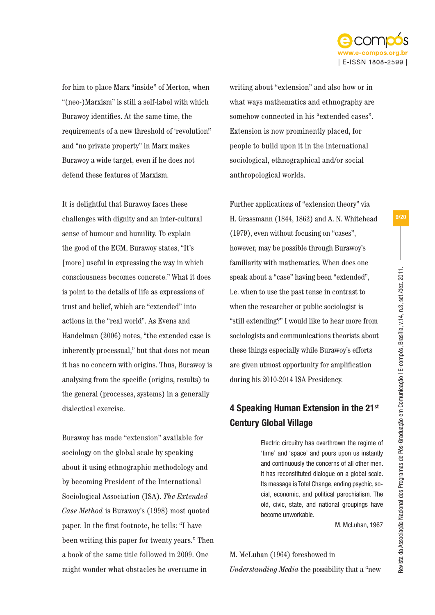

for him to place Marx "inside" of Merton, when "(neo-)Marxism" is still a self-label with which Burawoy identifies. At the same time, the requirements of a new threshold of 'revolution!' and "no private property" in Marx makes Burawoy a wide target, even if he does not defend these features of Marxism.

It is delightful that Burawoy faces these challenges with dignity and an inter-cultural sense of humour and humility. To explain the good of the ECM, Burawoy states, "It's [more] useful in expressing the way in which consciousness becomes concrete." What it does is point to the details of life as expressions of trust and belief, which are "extended" into actions in the "real world". As Evens and Handelman (2006) notes, "the extended case is inherently processual," but that does not mean it has no concern with origins. Thus, Burawoy is analysing from the specific (origins, results) to the general (processes, systems) in a generally dialectical exercise.

Burawoy has made "extension" available for sociology on the global scale by speaking about it using ethnographic methodology and by becoming President of the International Sociological Association (ISA). *The Extended Case Method* is Burawoy's (1998) most quoted paper. In the first footnote, he tells: "I have been writing this paper for twenty years." Then a book of the same title followed in 2009. One might wonder what obstacles he overcame in

writing about "extension" and also how or in what ways mathematics and ethnography are somehow connected in his "extended cases". Extension is now prominently placed, for people to build upon it in the international sociological, ethnographical and/or social anthropological worlds.

Further applications of "extension theory" via H. Grassmann (1844, 1862) and A. N. Whitehead (1979), even without focusing on "cases", however, may be possible through Burawoy's familiarity with mathematics. When does one speak about a "case" having been "extended", i.e. when to use the past tense in contrast to when the researcher or public sociologist is "still extending?" I would like to hear more from sociologists and communications theorists about these things especially while Burawoy's efforts are given utmost opportunity for amplification during his 2010-2014 ISA Presidency.

# 4 Speaking Human Extension in the 21st Century Global Village

Electric circuitry has overthrown the regime of 'time' and 'space' and pours upon us instantly and continuously the concerns of all other men. It has reconstituted dialogue on a global scale. Its message is Total Change, ending psychic, social, economic, and political parochialism. The old, civic, state, and national groupings have become unworkable.

M. McLuhan, 1967

## M. McLuhan (1964) foreshowed in

*Understanding Media* the possibility that a "new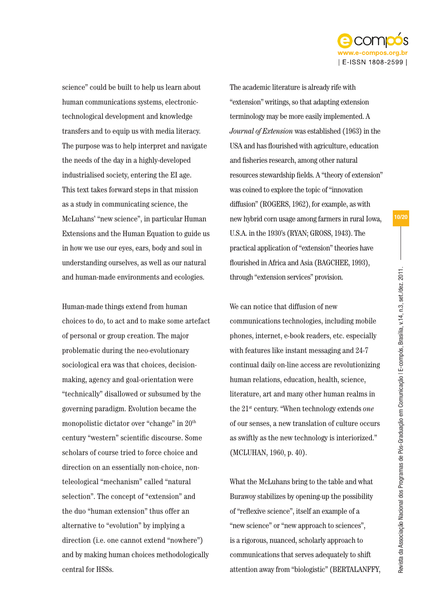

science" could be built to help us learn about human communications systems, electronictechnological development and knowledge transfers and to equip us with media literacy. The purpose was to help interpret and navigate the needs of the day in a highly-developed industrialised society, entering the EI age. This text takes forward steps in that mission as a study in communicating science, the McLuhans' "new science", in particular Human Extensions and the Human Equation to guide us in how we use our eyes, ears, body and soul in understanding ourselves, as well as our natural and human-made environments and ecologies.

Human-made things extend from human choices to do, to act and to make some artefact of personal or group creation. The major problematic during the neo-evolutionary sociological era was that choices, decisionmaking, agency and goal-orientation were "technically" disallowed or subsumed by the governing paradigm. Evolution became the monopolistic dictator over "change" in 20th century "western" scientific discourse. Some scholars of course tried to force choice and direction on an essentially non-choice, nonteleological "mechanism" called "natural selection". The concept of "extension" and the duo "human extension" thus offer an alternative to "evolution" by implying a direction (i.e. one cannot extend "nowhere") and by making human choices methodologically central for HSSs.

The academic literature is already rife with "extension" writings, so that adapting extension terminology may be more easily implemented. A *Journal of Extension* was established (1963) in the USA and has flourished with agriculture, education and fisheries research, among other natural resources stewardship fields. A "theory of extension" was coined to explore the topic of "innovation diffusion" (ROGERS, 1962), for example, as with new hybrid corn usage among farmers in rural Iowa, U.S.A. in the 1930's (RYAN; GROSS, 1943). The practical application of "extension" theories have flourished in Africa and Asia (BAGCHEE, 1993), through "extension services" provision.

We can notice that diffusion of new communications technologies, including mobile phones, internet, e-book readers, etc. especially with features like instant messaging and 24-7 continual daily on-line access are revolutionizing human relations, education, health, science, literature, art and many other human realms in the 21st century. "When technology extends *one* of our senses, a new translation of culture occurs as swiftly as the new technology is interiorized." (MCLUHAN, 1960, p. 40).

What the McLuhans bring to the table and what Burawoy stabilizes by opening-up the possibility of "reflexive science", itself an example of a "new science" or "new approach to sciences", is a rigorous, nuanced, scholarly approach to communications that serves adequately to shift attention away from "biologistic" (BERTALANFFY,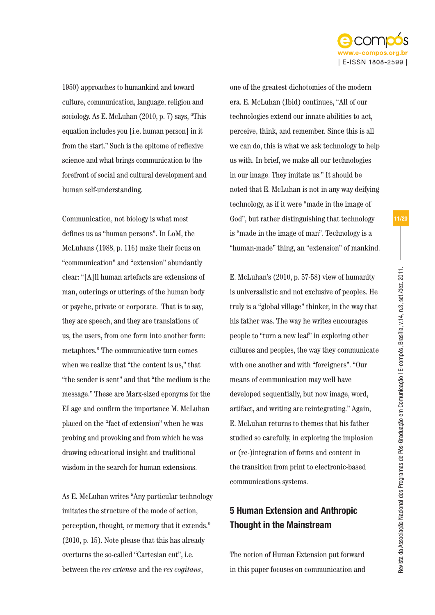

1950) approaches to humankind and toward culture, communication, language, religion and sociology. As E. McLuhan (2010, p. 7) says, "This equation includes you [i.e. human person] in it from the start." Such is the epitome of reflexive science and what brings communication to the forefront of social and cultural development and human self-understanding.

Communication, not biology is what most defines us as "human persons". In LoM, the McLuhans (1988, p. 116) make their focus on "communication" and "extension" abundantly clear: "[A]ll human artefacts are extensions of man, outerings or utterings of the human body or psyche, private or corporate. That is to say, they are speech, and they are translations of us, the users, from one form into another form: metaphors." The communicative turn comes when we realize that "the content is us," that "the sender is sent" and that "the medium is the message." These are Marx-sized eponyms for the EI age and confirm the importance M. McLuhan placed on the "fact of extension" when he was probing and provoking and from which he was drawing educational insight and traditional wisdom in the search for human extensions.

As E. McLuhan writes "Any particular technology imitates the structure of the mode of action, perception, thought, or memory that it extends." (2010, p. 15). Note please that this has already overturns the so-called "Cartesian cut", i.e. between the *res extensa* and the *res cogitans*,

one of the greatest dichotomies of the modern era. E. McLuhan (Ibid) continues, "All of our technologies extend our innate abilities to act, perceive, think, and remember. Since this is all we can do, this is what we ask technology to help us with. In brief, we make all our technologies in our image. They imitate us." It should be noted that E. McLuhan is not in any way deifying technology, as if it were "made in the image of God", but rather distinguishing that technology is "made in the image of man". Technology is a "human-made" thing, an "extension" of mankind.

E. McLuhan's (2010, p. 57-58) view of humanity is universalistic and not exclusive of peoples. He truly is a "global village" thinker, in the way that his father was. The way he writes encourages people to "turn a new leaf" in exploring other cultures and peoples, the way they communicate with one another and with "foreigners". "Our means of communication may well have developed sequentially, but now image, word, artifact, and writing are reintegrating." Again, E. McLuhan returns to themes that his father studied so carefully, in exploring the implosion or (re-)integration of forms and content in the transition from print to electronic-based communications systems.

# 5 Human Extension and Anthropic Thought in the Mainstream

The notion of Human Extension put forward in this paper focuses on communication and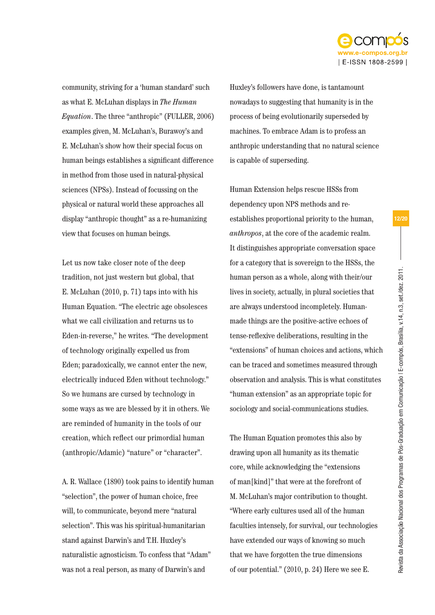

community, striving for a 'human standard' such as what E. McLuhan displays in *The Human Equation*. The three "anthropic" (FULLER, 2006) examples given, M. McLuhan's, Burawoy's and E. McLuhan's show how their special focus on human beings establishes a significant difference in method from those used in natural-physical sciences (NPSs). Instead of focussing on the physical or natural world these approaches all display "anthropic thought" as a re-humanizing view that focuses on human beings.

Let us now take closer note of the deep tradition, not just western but global, that E. McLuhan (2010, p. 71) taps into with his Human Equation. "The electric age obsolesces what we call civilization and returns us to Eden-in-reverse," he writes. "The development of technology originally expelled us from Eden; paradoxically, we cannot enter the new, electrically induced Eden without technology." So we humans are cursed by technology in some ways as we are blessed by it in others. We are reminded of humanity in the tools of our creation, which reflect our primordial human (anthropic/Adamic) "nature" or "character".

A. R. Wallace (1890) took pains to identify human "selection", the power of human choice, free will, to communicate, beyond mere "natural selection". This was his spiritual-humanitarian stand against Darwin's and T.H. Huxley's naturalistic agnosticism. To confess that "Adam" was not a real person, as many of Darwin's and

Huxley's followers have done, is tantamount nowadays to suggesting that humanity is in the process of being evolutionarily superseded by machines. To embrace Adam is to profess an anthropic understanding that no natural science is capable of superseding.

Human Extension helps rescue HSSs from dependency upon NPS methods and reestablishes proportional priority to the human, *anthropos*, at the core of the academic realm. It distinguishes appropriate conversation space for a category that is sovereign to the HSSs, the human person as a whole, along with their/our lives in society, actually, in plural societies that are always understood incompletely. Humanmade things are the positive-active echoes of tense-reflexive deliberations, resulting in the "extensions" of human choices and actions, which can be traced and sometimes measured through observation and analysis. This is what constitutes "human extension" as an appropriate topic for sociology and social-communications studies.

The Human Equation promotes this also by drawing upon all humanity as its thematic core, while acknowledging the "extensions of man[kind]" that were at the forefront of M. McLuhan's major contribution to thought. "Where early cultures used all of the human faculties intensely, for survival, our technologies have extended our ways of knowing so much that we have forgotten the true dimensions of our potential." (2010, p. 24) Here we see E.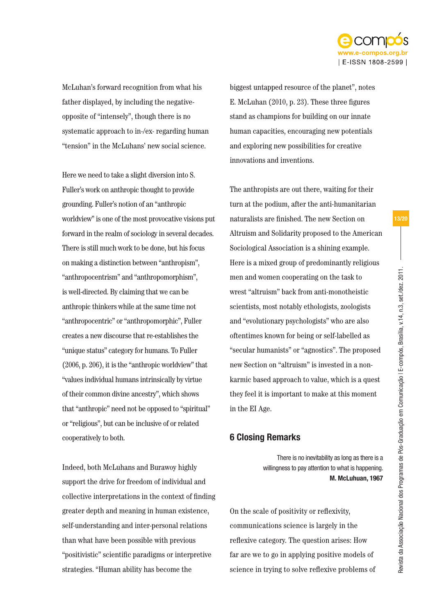

McLuhan's forward recognition from what his father displayed, by including the negativeopposite of "intensely", though there is no systematic approach to in-/ex- regarding human "tension" in the McLuhans' new social science.

Here we need to take a slight diversion into S. Fuller's work on anthropic thought to provide grounding. Fuller's notion of an "anthropic worldview" is one of the most provocative visions put forward in the realm of sociology in several decades. There is still much work to be done, but his focus on making a distinction between "anthropism", "anthropocentrism" and "anthropomorphism", is well-directed. By claiming that we can be anthropic thinkers while at the same time not "anthropocentric" or "anthropomorphic", Fuller creates a new discourse that re-establishes the "unique status" category for humans. To Fuller (2006, p. 206), it is the "anthropic worldview" that "values individual humans intrinsically by virtue of their common divine ancestry", which shows that "anthropic" need not be opposed to "spiritual" or "religious", but can be inclusive of or related cooperatively to both.

Indeed, both McLuhans and Burawoy highly support the drive for freedom of individual and collective interpretations in the context of finding greater depth and meaning in human existence, self-understanding and inter-personal relations than what have been possible with previous "positivistic" scientific paradigms or interpretive strategies. "Human ability has become the

biggest untapped resource of the planet", notes E. McLuhan (2010, p. 23). These three figures stand as champions for building on our innate human capacities, encouraging new potentials and exploring new possibilities for creative innovations and inventions.

The anthropists are out there, waiting for their turn at the podium, after the anti-humanitarian naturalists are finished. The new Section on Altruism and Solidarity proposed to the American Sociological Association is a shining example. Here is a mixed group of predominantly religious men and women cooperating on the task to wrest "altruism" back from anti-monotheistic scientists, most notably ethologists, zoologists and "evolutionary psychologists" who are also oftentimes known for being or self-labelled as "secular humanists" or "agnostics". The proposed new Section on "altruism" is invested in a nonkarmic based approach to value, which is a quest they feel it is important to make at this moment in the EI Age.

# 6 Closing Remarks

There is no inevitability as long as there is a willingness to pay attention to what is happening.  **M. McLuhuan, 1967**

On the scale of positivity or reflexivity, communications science is largely in the reflexive category. The question arises: How far are we to go in applying positive models of science in trying to solve reflexive problems of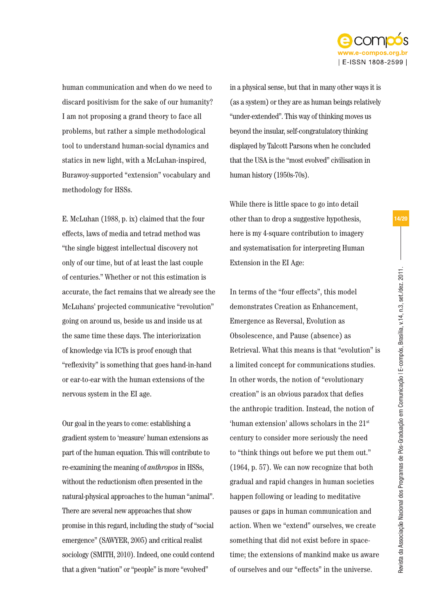

human communication and when do we need to discard positivism for the sake of our humanity? I am not proposing a grand theory to face all problems, but rather a simple methodological tool to understand human-social dynamics and statics in new light, with a McLuhan-inspired, Burawoy-supported "extension" vocabulary and methodology for HSSs.

E. McLuhan (1988, p. ix) claimed that the four effects, laws of media and tetrad method was "the single biggest intellectual discovery not only of our time, but of at least the last couple of centuries." Whether or not this estimation is accurate, the fact remains that we already see the McLuhans' projected communicative "revolution" going on around us, beside us and inside us at the same time these days. The interiorization of knowledge via ICTs is proof enough that "reflexivity" is something that goes hand-in-hand or ear-to-ear with the human extensions of the nervous system in the EI age.

Our goal in the years to come: establishing a gradient system to 'measure' human extensions as part of the human equation. This will contribute to re-examining the meaning of *anthropos* in HSSs, without the reductionism often presented in the natural-physical approaches to the human "animal". There are several new approaches that show promise in this regard, including the study of "social emergence" (SAWYER, 2005) and critical realist sociology (SMITH, 2010). Indeed, one could contend that a given "nation" or "people" is more "evolved"

in a physical sense, but that in many other ways it is (as a system) or they are as human beings relatively "under-extended". This way of thinking moves us beyond the insular, self-congratulatory thinking displayed by Talcott Parsons when he concluded that the USA is the "most evolved" civilisation in human history (1950s-70s).

While there is little space to go into detail other than to drop a suggestive hypothesis, here is my 4-square contribution to imagery and systematisation for interpreting Human Extension in the EI Age:

In terms of the "four effects", this model demonstrates Creation as Enhancement, Emergence as Reversal, Evolution as Obsolescence, and Pause (absence) as Retrieval. What this means is that "evolution" is a limited concept for communications studies. In other words, the notion of "evolutionary creation" is an obvious paradox that defies the anthropic tradition. Instead, the notion of 'human extension' allows scholars in the 21st century to consider more seriously the need to "think things out before we put them out." (1964, p. 57). We can now recognize that both gradual and rapid changes in human societies happen following or leading to meditative pauses or gaps in human communication and action. When we "extend" ourselves, we create something that did not exist before in spacetime; the extensions of mankind make us aware of ourselves and our "effects" in the universe.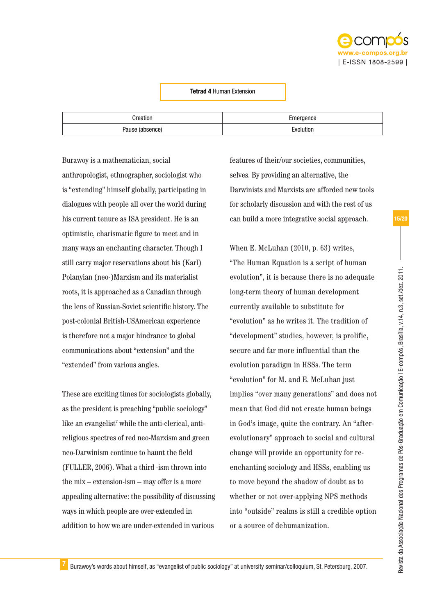

### Tetrad 4 Human Extension

| Creation               | Emergence |
|------------------------|-----------|
| Douco<br>енсел<br>auər | Evolution |

Burawoy is a mathematician, social anthropologist, ethnographer, sociologist who is "extending" himself globally, participating in dialogues with people all over the world during his current tenure as ISA president. He is an optimistic, charismatic figure to meet and in many ways an enchanting character. Though I still carry major reservations about his (Karl) Polanyian (neo-)Marxism and its materialist roots, it is approached as a Canadian through the lens of Russian-Soviet scientific history. The post-colonial British-USAmerican experience is therefore not a major hindrance to global communications about "extension" and the "extended" from various angles.

These are exciting times for sociologists globally, as the president is preaching "public sociology" like an evangelist<sup>7</sup> while the anti-clerical, antireligious spectres of red neo-Marxism and green neo-Darwinism continue to haunt the field (FULLER, 2006). What a third -ism thrown into the mix – extension-ism – may offer is a more appealing alternative: the possibility of discussing ways in which people are over-extended in addition to how we are under-extended in various

features of their/our societies, communities, selves. By providing an alternative, the Darwinists and Marxists are afforded new tools for scholarly discussion and with the rest of us can build a more integrative social approach.

When E. McLuhan (2010, p. 63) writes, "The Human Equation is a script of human evolution", it is because there is no adequate long-term theory of human development currently available to substitute for "evolution" as he writes it. The tradition of "development" studies, however, is prolific, secure and far more influential than the evolution paradigm in HSSs. The term "evolution" for M. and E. McLuhan just implies "over many generations" and does not mean that God did not create human beings in God's image, quite the contrary. An "afterevolutionary" approach to social and cultural change will provide an opportunity for reenchanting sociology and HSSs, enabling us to move beyond the shadow of doubt as to whether or not over-applying NPS methods into "outside" realms is still a credible option or a source of dehumanization.

Revista da Associação Nacional dos Programas de Pós-Graduação em Comunicação | E-compós, Brasília, v.14, n.3, set./dez. 2011.

Revista da Associação Nacional dos Programas de Pós-Graduação em Comunicação I E-compós, Brasília, v.14, n.3, set./dez. 2011.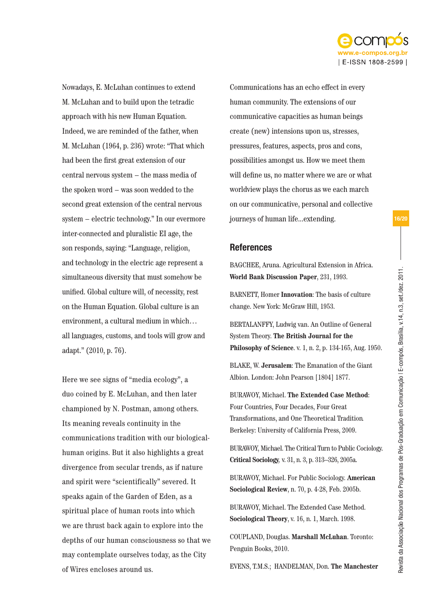

Nowadays, E. McLuhan continues to extend M. McLuhan and to build upon the tetradic approach with his new Human Equation. Indeed, we are reminded of the father, when M. McLuhan (1964, p. 236) wrote: "That which had been the first great extension of our central nervous system − the mass media of the spoken word − was soon wedded to the second great extension of the central nervous system − electric technology." In our evermore inter-connected and pluralistic EI age, the son responds, saying: "Language, religion, and technology in the electric age represent a simultaneous diversity that must somehow be unified. Global culture will, of necessity, rest on the Human Equation. Global culture is an environment, a cultural medium in which… all languages, customs, and tools will grow and adapt." (2010, p. 76).

Here we see signs of "media ecology", a duo coined by E. McLuhan, and then later championed by N. Postman, among others. Its meaning reveals continuity in the communications tradition with our biologicalhuman origins. But it also highlights a great divergence from secular trends, as if nature and spirit were "scientifically" severed. It speaks again of the Garden of Eden, as a spiritual place of human roots into which we are thrust back again to explore into the depths of our human consciousness so that we may contemplate ourselves today, as the City of Wires encloses around us.

Communications has an echo effect in every human community. The extensions of our communicative capacities as human beings create (new) intensions upon us, stresses, pressures, features, aspects, pros and cons, possibilities amongst us. How we meet them will define us, no matter where we are or what worldview plays the chorus as we each march on our communicative, personal and collective journeys of human life...extending.

## References

BAGCHEE, Aruna. Agricultural Extension in Africa. **World Bank Discussion Paper**, 231, 1993.

BARNETT, Homer **Innovation**: The basis of culture change. New York: McGraw Hill, 1953.

BERTALANFFY, Ludwig van. An Outline of General System Theory. **The British Journal for the Philosophy of Science**. v. 1, n. 2, p. 134-165, Aug. 1950.

BLAKE, W. **Jerusalem**: The Emanation of the Giant Albion. London: John Pearson [1804] 1877.

BURAWOY, Michael. **The Extended Case Method**: Four Countries, Four Decades, Four Great Transformations, and One Theoretical Tradition*.* Berkeley: University of California Press, 2009.

BURAWOY, Michael. The Critical Turn to Public Cociology. **Critical Sociology***,* v. 31, n. 3, p. 313–326, 2005a.

BURAWOY, Michael. For Public Sociology. **American Sociological Review**, n. 70, p. 4-28, Feb. 2005b.

BURAWOY, Michael. The Extended Case Method. **Sociological Theory**, v. 16, n. 1, March. 1998.

COUPLAND, Douglas. **Marshall McLuhan**. Toronto: Penguin Books, 2010.

EVENS, T.M.S.; HANDELMAN, Don. **The Manchester**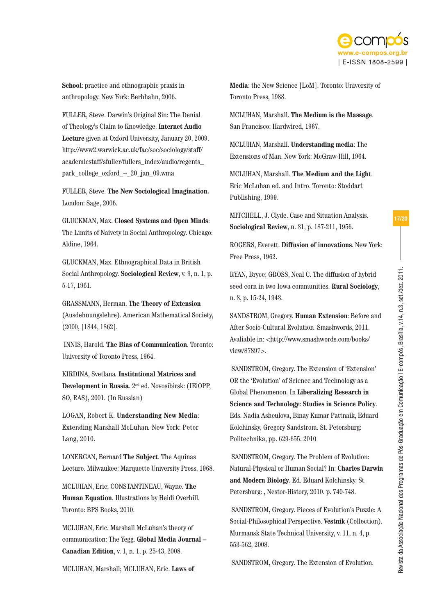

**School**: practice and ethnographic praxis in anthropology. New York: Berhhahn, 2006.

FULLER, Steve. Darwin's Original Sin: The Denial of Theology's Claim to Knowledge. **Internet Audio Lecture** given at Oxford University, January 20, 2009. http://www2.warwick.ac.uk/fac/soc/sociology/staff/ academicstaff/sfuller/fullers\_index/audio/regents\_ park\_college\_oxford -- 20\_jan\_09.wma

FULLER, Steve. **The New Sociological Imagination.**  London: Sage, 2006.

GLUCKMAN, Max. **Closed Systems and Open Minds**: The Limits of Naivety in Social Anthropology. Chicago: Aldine, 1964.

GLUCKMAN, Max. Ethnographical Data in British Social Anthropology. **Sociological Review**, v. 9, n. 1, p. 5-17, 1961.

GRASSMANN, Herman. **The Theory of Extension** (Ausdehnungslehre). American Mathematical Society, (2000, [1844, 1862].

 INNIS, Harold. **The Bias of Communication**. Toronto: University of Toronto Press, 1964.

KIRDINA, Svetlana*.* **Institutional Matrices and Development in Russia**. 2nd ed. Novosibirsk: (IEiOPP, SO, RAS), 2001. (In Russian)

LOGAN, Robert K. **Understanding New Media**: Extending Marshall McLuhan*.* New York: Peter Lang, 2010.

LONERGAN, Bernard **The Subject**. The Aquinas Lecture. Milwaukee: Marquette University Press, 1968.

MCLUHAN, Eric; CONSTANTINEAU, Wayne. **The Human Equation**. Illustrations by Heidi Overhill. Toronto: BPS Books, 2010.

MCLUHAN, Eric. Marshall McLuhan's theory of communication: The Yegg. **Global Media Journal – Canadian Edition**, v. 1, n. 1, p. 25-43, 2008.

MCLUHAN, Marshall; MCLUHAN, Eric. **Laws of** 

**Media**: the New Science [LoM]. Toronto: University of Toronto Press, 1988.

MCLUHAN, Marshall. **The Medium is the Massage**. San Francisco: Hardwired, 1967.

MCLUHAN, Marshall. **Understanding media**: The Extensions of Man. New York: McGraw-Hill, 1964.

MCLUHAN, Marshall. **The Medium and the Light**. Eric McLuhan ed. and Intro. Toronto: Stoddart Publishing, 1999.

MITCHELL, J. Clyde. Case and Situation Analysis. **Sociological Review**, n. 31, p. 187-211, 1956.

ROGERS, Everett. **Diffusion of innovations**. New York: Free Press, 1962.

RYAN, Bryce; GROSS, Neal C. The diffusion of hybrid seed corn in two Iowa communities. **Rural Sociology**, n. 8, p. 15-24, 1943.

SANDSTROM, Gregory. **Human Extension**: Before and After Socio-Cultural Evolution*.* Smashwords, 2011. Avaliable in: <http://www.smashwords.com/books/ view/87897>.

 SANDSTROM, Gregory. The Extension of 'Extension' OR the 'Evolution' of Science and Technology as a Global Phenomenon. In **Liberalizing Research in Science and Technology: Studies in Science Policy**. Eds. Nadia Asheulova, Binay Kumar Pattnaik, Eduard Kolchinsky, Gregory Sandstrom. St. Petersburg: Politechnika, pp. 629-655. 2010

 SANDSTROM, Gregory. The Problem of Evolution: Natural-Physical or Human Social? In: **Charles Darwin and Modern Biology**. Ed. Eduard Kolchinsky. St. Petersburg: , Nestor-History, 2010. p. 740-748.

 SANDSTROM, Gregory. Pieces of Evolution's Puzzle: A Social-Philosophical Perspective. **Vestnik** (Collection). Murmansk State Technical University, v. 11, n. 4, p. 553-562, 2008.

SANDSTROM, Gregory. The Extension of Evolution.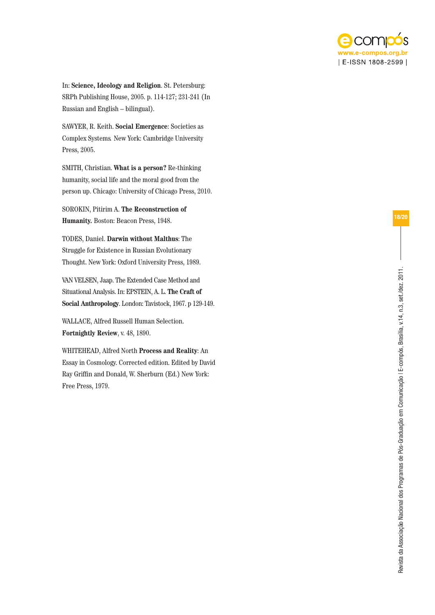

In: **Science, Ideology and Religion**. St. Petersburg: SRPh Publishing House, 2005. p. 114-127; 231-241 (In Russian and English – bilingual).

SAWYER, R. Keith. **Social Emergence**: Societies as Complex Systems*.* New York: Cambridge University Press, 2005.

SMITH, Christian. **What is a person?** Re-thinking humanity, social life and the moral good from the person up. Chicago: University of Chicago Press, 2010.

SOROKIN, Pitirim A. **The Reconstruction of Humanity.** Boston: Beacon Press, 1948.

TODES, Daniel. **Darwin without Malthus**: The Struggle for Existence in Russian Evolutionary Thought. New York: Oxford University Press, 1989.

VAN VELSEN, Jaap. The Extended Case Method and Situational Analysis. In: EPSTEIN, A. L. **The Craft of Social Anthropology**. London: Tavistock, 1967. p 129-149.

WALLACE, Alfred Russell Human Selection. **Fortnightly Review**, v. 48, 1890.

WHITEHEAD, Alfred North **Process and Reality**: An Essay in Cosmology. Corrected edition. Edited by David Ray Griffin and Donald, W. Sherburn (Ed.) New York: Free Press, 1979.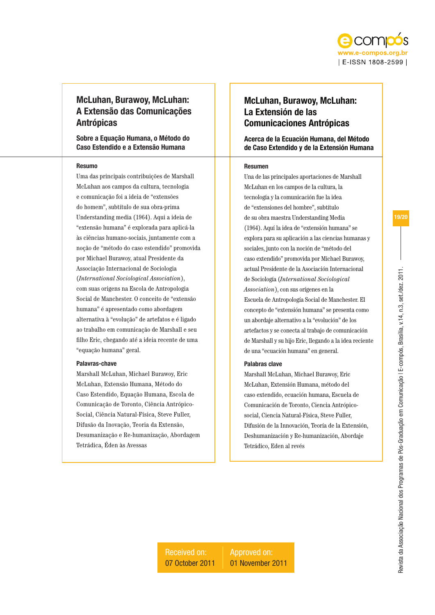

# McLuhan, Burawoy, McLuhan: A Extensão das Comunicações Antrópicas

Sobre a Equação Humana, o Método do Caso Estendido e a Extensão Humana

## Resumo

Uma das principais contribuições de Marshall McLuhan aos campos da cultura, tecnologia e comunicação foi a ideia de "extensões do homem", subtítulo de sua obra-prima Understanding media (1964). Aqui a ideia de "extensão humana" é explorada para aplicá-la às ciências humano-sociais, juntamente com a noção de "método do caso estendido" promovida por Michael Burawoy, atual Presidente da Associação Internacional de Sociologia (*International Sociological Association*), com suas origens na Escola de Antropologia Social de Manchester. O conceito de "extensão humana" é apresentado como abordagem alternativa à "evolução" de artefatos e é ligado ao trabalho em comunicação de Marshall e seu filho Eric, chegando até a ideia recente de uma "equação humana" geral.

## Palavras-chave

Marshall McLuhan, Michael Burawoy, Eric McLuhan, Extensão Humana, Método do Caso Estendido, Equação Humana, Escola de Comunicação de Toronto, Ciência Antrópico-Social, Ciência Natural-Física, Steve Fuller, Difusão da Inovação, Teoria da Extensão, Desumanização e Re-humanização, Abordagem Tetrádica, Éden às Avessas

# McLuhan, Burawoy, McLuhan: La Extensión de las Comunicaciones Antrópicas

Acerca de la Ecuación Humana, del Método de Caso Extendido y de la Extensión Humana

#### Resumen

Una de las principales aportaciones de Marshall McLuhan en los campos de la cultura, la tecnología y la comunicación fue la idea de "extensiones del hombre", subtítulo de su obra maestra Understanding Media (1964). Aquí la idea de "extensión humana" se explora para su aplicación a las ciencias humanas y sociales, junto con la noción de "método del caso extendido" promovida por Michael Burawoy, actual Presidente de la Asociación Internacional de Sociología (*International Sociological Association*), con sus orígenes en la Escuela de Antropología Social de Manchester. El concepto de "extensión humana" se presenta como un abordaje alternativo a la "evolución" de los artefactos y se conecta al trabajo de comunicación de Marshall y su hijo Eric, llegando a la idea reciente de una "ecuación humana" en general.

## Palabras clave

Marshall McLuhan, Michael Burawoy, Eric McLuhan, Extensión Humana, método del caso extendido, ecuación humana, Escuela de Comunicación de Toronto, Ciencia Antrópicosocial, Ciencia Natural-Física, Steve Fuller, Difusión de la Innovación, Teoría de la Extensión, Deshumanización y Re-humanización, Abordaje Tetrádico, Eden al revés

19/20

Received on: 07 October 2011 Approved on: 01 November 2011